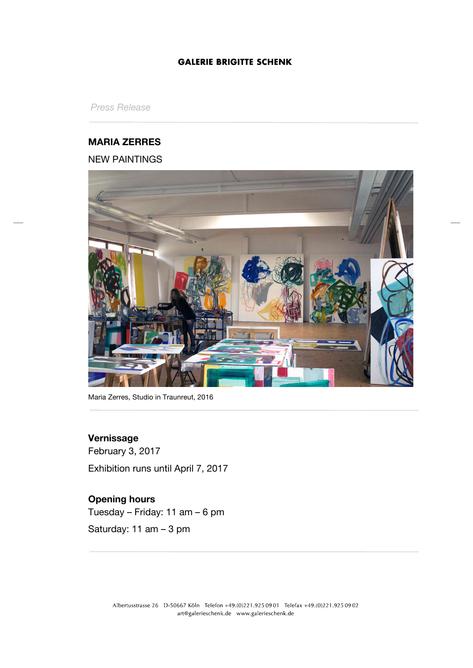*Press Release*

## **MARIA ZERRES**

## NEW PAINTINGS



Maria Zerres, Studio in Traunreut, 2016

## **Vernissage**

February 3, 2017 Exhibition runs until April 7, 2017

# **Opening hours**

Tuesday – Friday: 11 am – 6 pm Saturday: 11 am – 3 pm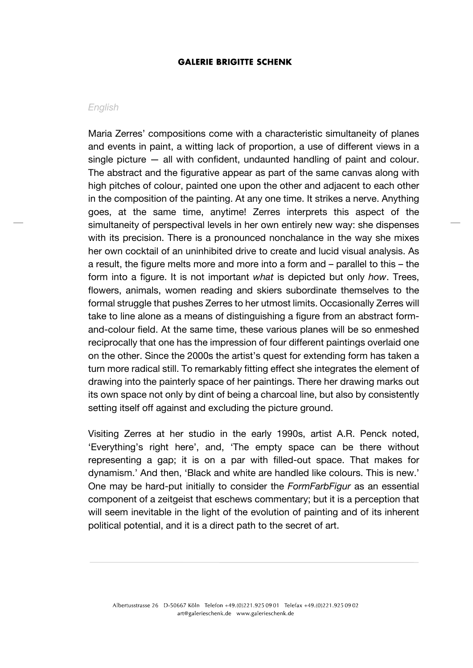#### *English*

Maria Zerres' compositions come with a characteristic simultaneity of planes and events in paint, a witting lack of proportion, a use of different views in a single picture — all with confident, undaunted handling of paint and colour. The abstract and the figurative appear as part of the same canvas along with high pitches of colour, painted one upon the other and adjacent to each other in the composition of the painting. At any one time. It strikes a nerve. Anything goes, at the same time, anytime! Zerres interprets this aspect of the simultaneity of perspectival levels in her own entirely new way: she dispenses with its precision. There is a pronounced nonchalance in the way she mixes her own cocktail of an uninhibited drive to create and lucid visual analysis. As a result, the figure melts more and more into a form and – parallel to this – the form into a figure. It is not important *what* is depicted but only *how*. Trees, flowers, animals, women reading and skiers subordinate themselves to the formal struggle that pushes Zerres to her utmost limits. Occasionally Zerres will take to line alone as a means of distinguishing a figure from an abstract formand-colour field. At the same time, these various planes will be so enmeshed reciprocally that one has the impression of four different paintings overlaid one on the other. Since the 2000s the artist's quest for extending form has taken a turn more radical still. To remarkably fitting effect she integrates the element of drawing into the painterly space of her paintings. There her drawing marks out its own space not only by dint of being a charcoal line, but also by consistently setting itself off against and excluding the picture ground.

Visiting Zerres at her studio in the early 1990s, artist A.R. Penck noted, 'Everything's right here', and, 'The empty space can be there without representing a gap; it is on a par with filled-out space. That makes for dynamism.' And then, 'Black and white are handled like colours. This is new.' One may be hard-put initially to consider the *FormFarbFigur* as an essential component of a zeitgeist that eschews commentary; but it is a perception that will seem inevitable in the light of the evolution of painting and of its inherent political potential, and it is a direct path to the secret of art.